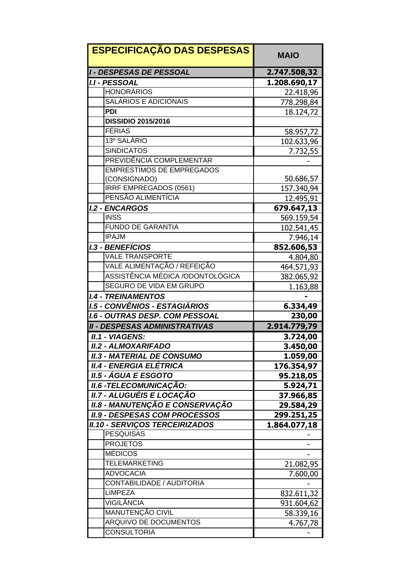| <b>ESPECIFICAÇÃO DAS DESPESAS</b>     | <b>MAIO</b>  |
|---------------------------------------|--------------|
| <b>I - DESPESAS DE PESSOAL</b>        | 2.747.508,32 |
| <b>I.I - PESSOAL</b>                  | 1.208.690,17 |
| <b>HONORÁRIOS</b>                     | 22.418,96    |
| SALÁRIOS E ADICIONAIS                 | 778.298,84   |
| <b>PDI</b>                            | 18.124,72    |
| <b>DISSIDIO 2015/2016</b>             |              |
| <b>FÉRIAS</b>                         | 58.957,72    |
| 13º SALÁRIO                           | 102.633,96   |
| <b>SINDICATOS</b>                     | 7.732,55     |
| PREVIDÊNCIA COMPLEMENTAR              |              |
| <b>EMPRESTIMOS DE EMPREGADOS</b>      |              |
| (CONSIGNADO)                          | 50.686,57    |
| IRRF EMPREGADOS (0561)                | 157.340,94   |
| PENSÃO ALIMENTÍCIA                    | 12.495,91    |
| <b>I.2 - ENCARGOS</b>                 | 679.647,13   |
| <b>INSS</b>                           | 569.159,54   |
| <b>FUNDO DE GARANTIA</b>              | 102.541,45   |
| <b>IPAJM</b>                          | 7.946,14     |
| <b>I.3 - BENEFÍCIOS</b>               | 852.606,53   |
| <b>VALE TRANSPORTE</b>                | 4.804,80     |
| VALE ALIMENTAÇÃO / REFEIÇÃO           | 464.571,93   |
| ASSISTÊNCIA MÉDICA /ODONTOLÓGICA      | 382.065,92   |
| SEGURO DE VIDA EM GRUPO               | 1.163,88     |
| <b>I.4 - TREINAMENTOS</b>             |              |
| I.5 - CONVÊNIOS - ESTAGIÁRIOS         | 6.334,49     |
| <b>I.6 - OUTRAS DESP. COM PESSOAL</b> | 230,00       |
| <b>II - DESPESAS ADMINISTRATIVAS</b>  | 2.914.779,79 |
| II.1 - VIAGENS:                       | 3.724,00     |
| <b>II.2 - ALMOXARIFADO</b>            | 3.450,00     |
| <b>II.3 - MATERIAL DE CONSUMO</b>     | 1.059,00     |
| <b>II.4 - ENERGIA ELÉTRICA</b>        | 176.354,97   |
| <i>II.5 - ÁGUA E ESGOTO</i>           | 95.218,05    |
| <b>II.6 - TELECOMUNICAÇÃO:</b>        | 5.924,71     |
| II.7 - ALUGUÉIS E LOCAÇÃO             | 37.966,85    |
| II.8 - MANUTENÇÃO E CONSERVAÇÃO       | 29.584,29    |
| <b>II.9 - DESPESAS COM PROCESSOS</b>  | 299.251,25   |
| <b>II.10 - SERVIÇOS TERCEIRIZADOS</b> | 1.864.077,18 |
| <b>PESQUISAS</b>                      |              |
| <b>PROJETOS</b>                       |              |
| <b>MÉDICOS</b>                        |              |
| <b>TELEMARKETING</b>                  | 21.082,95    |
| <b>ADVOCACIA</b>                      | 7.600,00     |
| CONTABILIDADE / AUDITORIA             |              |
| <b>LIMPEZA</b>                        | 832.611,32   |
| <b>VIGILÂNCIA</b>                     | 931.604,62   |
| MANUTENÇÃO CIVIL                      | 58.339,16    |
| <b>ARQUIVO DE DOCUMENTOS</b>          | 4.767,78     |
| <b>CONSULTORIA</b>                    |              |
|                                       |              |